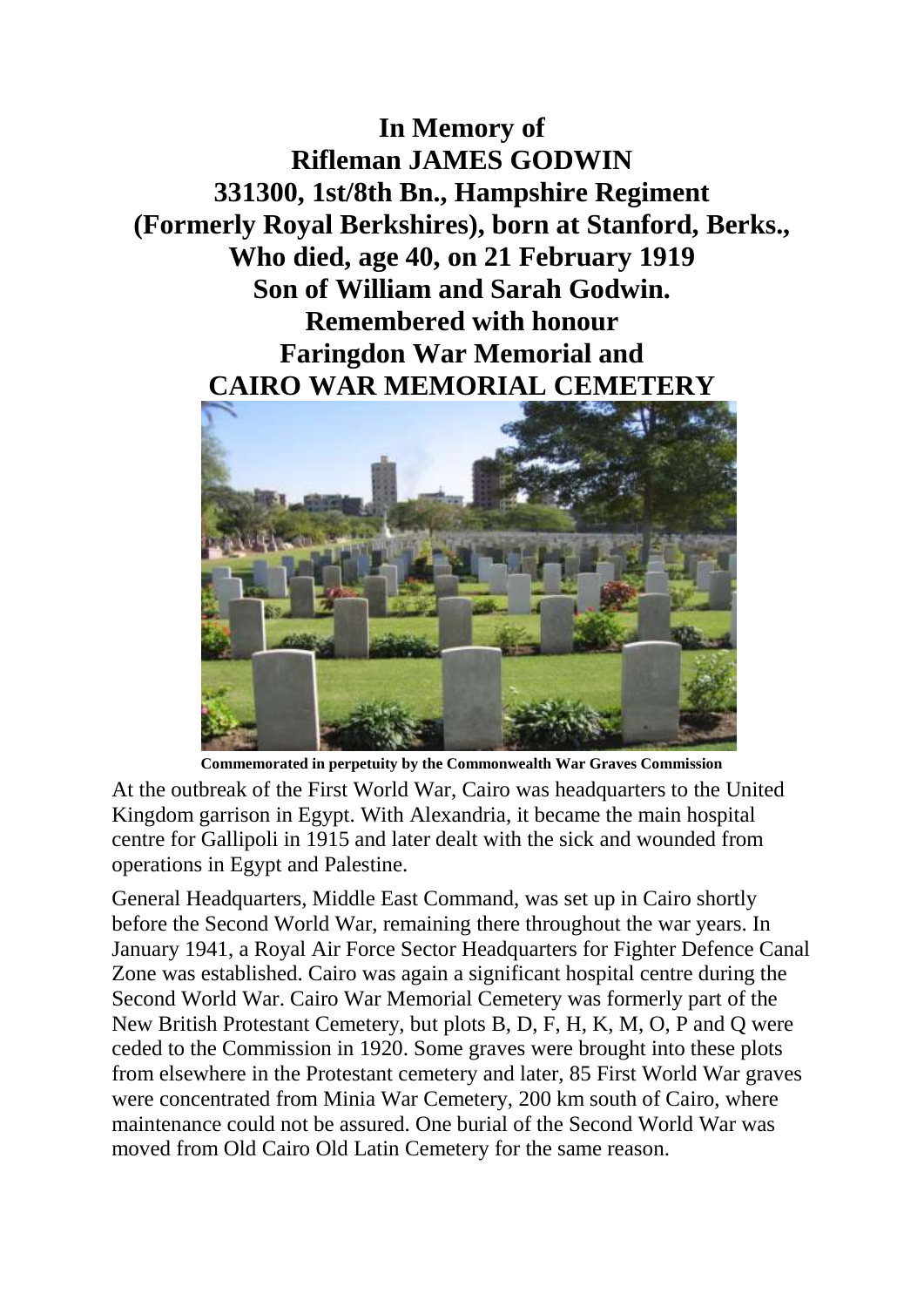**In Memory of Rifleman JAMES GODWIN 331300, 1st/8th Bn., Hampshire Regiment (Formerly Royal Berkshires), born at Stanford, Berks., Who died, age 40, on 21 February 1919 Son of William and Sarah Godwin. Remembered with honour Faringdon War Memorial and CAIRO WAR MEMORIAL CEMETERY**



**Commemorated in perpetuity by the Commonwealth War Graves Commission**

At the outbreak of the First World War, Cairo was headquarters to the United Kingdom garrison in Egypt. With Alexandria, it became the main hospital centre for Gallipoli in 1915 and later dealt with the sick and wounded from operations in Egypt and Palestine.

General Headquarters, Middle East Command, was set up in Cairo shortly before the Second World War, remaining there throughout the war years. In January 1941, a Royal Air Force Sector Headquarters for Fighter Defence Canal Zone was established. Cairo was again a significant hospital centre during the Second World War. Cairo War Memorial Cemetery was formerly part of the New British Protestant Cemetery, but plots B, D, F, H, K, M, O, P and Q were ceded to the Commission in 1920. Some graves were brought into these plots from elsewhere in the Protestant cemetery and later, 85 First World War graves were concentrated from Minia War Cemetery, 200 km south of Cairo, where maintenance could not be assured. One burial of the Second World War was moved from Old Cairo Old Latin Cemetery for the same reason.